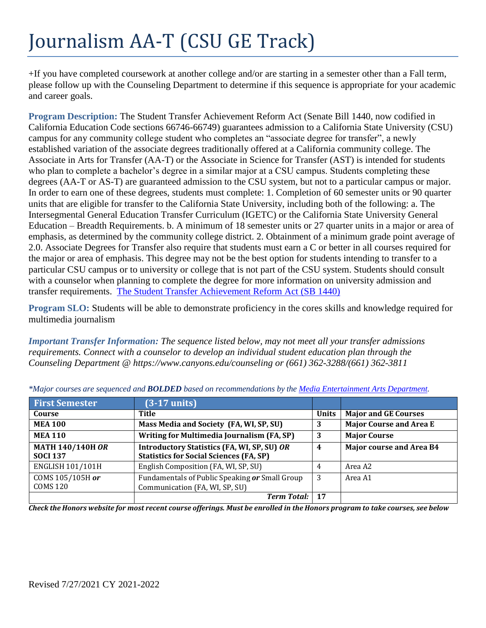## Journalism AA-T (CSU GE Track)

+If you have completed coursework at another college and/or are starting in a semester other than a Fall term, please follow up with the Counseling Department to determine if this sequence is appropriate for your academic and career goals.

**Program Description:** The Student Transfer Achievement Reform Act (Senate Bill 1440, now codified in California Education Code sections 66746-66749) guarantees admission to a California State University (CSU) campus for any community college student who completes an "associate degree for transfer", a newly established variation of the associate degrees traditionally offered at a California community college. The Associate in Arts for Transfer (AA-T) or the Associate in Science for Transfer (AST) is intended for students who plan to complete a bachelor's degree in a similar major at a CSU campus. Students completing these degrees (AA-T or AS-T) are guaranteed admission to the CSU system, but not to a particular campus or major. In order to earn one of these degrees, students must complete: 1. Completion of 60 semester units or 90 quarter units that are eligible for transfer to the California State University, including both of the following: a. The Intersegmental General Education Transfer Curriculum (IGETC) or the California State University General Education – Breadth Requirements. b. A minimum of 18 semester units or 27 quarter units in a major or area of emphasis, as determined by the community college district. 2. Obtainment of a minimum grade point average of 2.0. Associate Degrees for Transfer also require that students must earn a C or better in all courses required for the major or area of emphasis. This degree may not be the best option for students intending to transfer to a particular CSU campus or to university or college that is not part of the CSU system. Students should consult with a counselor when planning to complete the degree for more information on university admission and transfer requirements. [The Student Transfer Achievement Reform Act \(SB 1440\)](https://www2.calstate.edu/apply/transfer/Pages/ccc-associate-degree-for-transfer.aspx)

**Program SLO:** Students will be able to demonstrate proficiency in the cores skills and knowledge required for multimedia journalism

*Important Transfer Information: The sequence listed below, may not meet all your transfer admissions requirements. Connect with a counselor to develop an individual student education plan through the Counseling Department @ https:/[/www.canyons.edu/counseling](http://www.canyons.edu/counseling) or (661) 362-3288/(661) 362-3811* 

| <b>First Semester</b>                      | $(3-17$ units)                                                                                       |              |                                 |
|--------------------------------------------|------------------------------------------------------------------------------------------------------|--------------|---------------------------------|
| Course                                     | Title                                                                                                | <b>Units</b> | <b>Major and GE Courses</b>     |
| <b>MEA 100</b>                             | Mass Media and Society (FA, WI, SP, SU)                                                              | 3            | <b>Major Course and Area E</b>  |
| <b>MEA 110</b>                             | Writing for Multimedia Journalism (FA, SP)                                                           | 3            | <b>Major Course</b>             |
| <b>MATH 140/140H OR</b><br><b>SOCI 137</b> | <b>Introductory Statistics (FA, WI, SP, SU) OR</b><br><b>Statistics for Social Sciences (FA, SP)</b> | 4            | <b>Major course and Area B4</b> |
| <b>ENGLISH 101/101H</b>                    | English Composition (FA, WI, SP, SU)                                                                 | 4            | Area A2                         |
| COMS 105/105H or<br>COMS 120               | Fundamentals of Public Speaking or Small Group<br>Communication (FA, WI, SP, SU)                     | -3           | Area A1                         |
|                                            | <b>Term Total:</b>                                                                                   | 17           |                                 |

*\*Major courses are sequenced and BOLDED based on recommendations by th[e Media Entertainment Arts Department.](https://www.canyons.edu/academics/mea/index.php)*

Check the Honors website for most recent course offerings. Must be enrolled in the Honors program to take courses, see below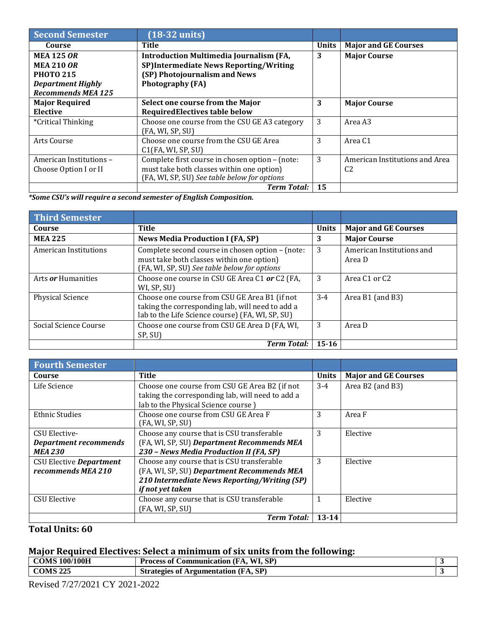| Second Semester           | $(18-32 \text{ units})$                         |              |                                |
|---------------------------|-------------------------------------------------|--------------|--------------------------------|
| Course                    | <b>Title</b>                                    | <b>Units</b> | <b>Major and GE Courses</b>    |
| <b>MEA 125 OR</b>         | <b>Introduction Multimedia Journalism (FA,</b>  | 3            | <b>Major Course</b>            |
| <b>MEA 210 OR</b>         | SP)Intermediate News Reporting/Writing          |              |                                |
| <b>PHOTO 215</b>          | (SP) Photojournalism and News                   |              |                                |
| <b>Department Highly</b>  | <b>Photography (FA)</b>                         |              |                                |
| <b>Recommends MEA 125</b> |                                                 |              |                                |
| <b>Major Required</b>     | Select one course from the Major                | 3            | <b>Major Course</b>            |
| Elective                  | <b>RequiredElectives table below</b>            |              |                                |
| <i>*Critical Thinking</i> | Choose one course from the CSU GE A3 category   | 3            | Area A3                        |
|                           | (FA, WI, SP, SU)                                |              |                                |
| Arts Course               | Choose one course from the CSU GE Area          | 3            | Area C <sub>1</sub>            |
|                           | C1(FA, WI, SP, SU)                              |              |                                |
| American Institutions-    | Complete first course in chosen option - (note: | 3            | American Institutions and Area |
| Choose Option I or II     | must take both classes within one option)       |              | C <sub>2</sub>                 |
|                           | (FA, WI, SP, SU) See table below for options    |              |                                |
|                           | <b>Term Total:</b>                              | 15           |                                |

*\*Some CSU's will require a second semester of English Composition.*

| <b>Third Semester</b>        |                                                                                                                                                       |              |                                       |
|------------------------------|-------------------------------------------------------------------------------------------------------------------------------------------------------|--------------|---------------------------------------|
| Course                       | <b>Title</b>                                                                                                                                          | <b>Units</b> | <b>Major and GE Courses</b>           |
| <b>MEA 225</b>               | <b>News Media Production I (FA, SP)</b>                                                                                                               | 3            | <b>Major Course</b>                   |
| <b>American Institutions</b> | Complete second course in chosen option - (note:<br>must take both classes within one option)<br>(FA, WI, SP, SU) See table below for options         | 3            | American Institutions and<br>Area D   |
| Arts <i>or</i> Humanities    | Choose one course in CSU GE Area C1 or C2 (FA,<br>WI, SP, SU)                                                                                         | 3            | Area C <sub>1</sub> or C <sub>2</sub> |
| <b>Physical Science</b>      | Choose one course from CSU GE Area B1 (if not<br>taking the corresponding lab, will need to add a<br>lab to the Life Science course) (FA, WI, SP, SU) | $3 - 4$      | Area B1 (and B3)                      |
| Social Science Course        | Choose one course from CSU GE Area D (FA, WI,<br>SP, SU)                                                                                              | 3            | Area D                                |
|                              | <b>Term Total:</b>                                                                                                                                    | $15 - 16$    |                                       |

| <b>Fourth Semester</b>       |                                                  |              |                             |
|------------------------------|--------------------------------------------------|--------------|-----------------------------|
| Course                       | Title                                            | <b>Units</b> | <b>Major and GE Courses</b> |
| Life Science                 | Choose one course from CSU GE Area B2 (if not    | $3-4$        | Area B2 (and B3)            |
|                              | taking the corresponding lab, will need to add a |              |                             |
|                              | lab to the Physical Science course)              |              |                             |
| <b>Ethnic Studies</b>        | Choose one course from CSU GE Area F             | 3            | Area F                      |
|                              | (FA, WI, SP, SU)                                 |              |                             |
| CSU Elective-                | Choose any course that is CSU transferable       | 3            | Elective                    |
| <b>Department recommends</b> | (FA, WI, SP, SU) Department Recommends MEA       |              |                             |
| <b>MEA 230</b>               | 230 - News Media Production II (FA, SP)          |              |                             |
| CSU Elective Department      | Choose any course that is CSU transferable       | 3            | Elective                    |
| recommends MEA 210           | (FA, WI, SP, SU) Department Recommends MEA       |              |                             |
|                              | 210 Intermediate News Reporting/Writing (SP)     |              |                             |
|                              | if not yet taken                                 |              |                             |
| <b>CSU Elective</b>          | Choose any course that is CSU transferable       |              | Elective                    |
|                              | (FA, WI, SP, SU)                                 |              |                             |
|                              | <b>Term Total:</b>                               | $13 - 14$    |                             |

**Total Units: 60**

## **Major Required Electives: Select a minimum of six units from the following:**

| <b>COMS 100/100H</b> | 1. S P<br>WT<br>Process of<br><b>Communication</b><br>(FA. |  |
|----------------------|------------------------------------------------------------|--|
| <b>COMS 225</b>      | (FA, SP)<br><b>Strategies of Argumentation</b>             |  |